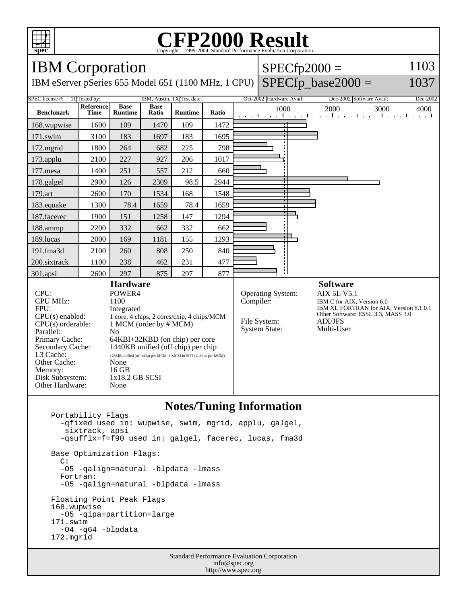

## **CFP2000 Result** Copyright  $\odot$  1999-2004, Standard I

## IBM Corporation IBM eServer pSeries 655 Model 651 (1100 MHz, 1 CPU)  $SPECfp2000 =$  $SPECfp\_base2000 =$ 1103 1037 SPEC license #: 11 Tested by: IBM, Austin, TX Test date: Oct-2002 Hardware Avail: Dec-2002 Software Avail: Dec-2002 **Benchmark Reference Time Base Runtime Base Runtime Ratio** 1000 2000 3000 4000 168.wupwise 1600 109 1470 109 1472 171.swim | 3100 | 183 | 1697 | 183 | 1695 172.mgrid | 1800 | 264 | 682 | 225 | 798 173.applu | 2100 | 227 | 927 | 206 | 1017 177.mesa | 1400 | 251 | 557 | 212 | 660 178.galgel | 2900 | 126 | 2309 | 98.5 | 2944 179.art 2600 170 1534 168 1548 183.equake 1300 78.4 1659 78.4 1659 187.facerec | 1900 | 151 | 1258 | 147 | 1294 188.ammp | 2200 | 332 | 662 | 332 | 662 189.lucas | 2000 | 169 | 1181 | 155 | 1293 191.fma3d 2100 260 808 250 840 200.sixtrack 1100 238 462 231 477 301.apsi | 2600 | 297 | 875 | 297 | 877 **Hardware** CPU: POWER4<br>
CPU MHz: 1100 CPU MHz: FPU: Integrated CPU(s) enabled: 1 core, 4 chips, 2 cores/chip, 4 chips/MCM<br>CPU(s) orderable: 1 MCM (order by # MCM) 1 MCM (order by # MCM) Parallel: No<br>Primary Cache: 64F 64KBI+32KBD (on chip) per core Secondary Cache:  $1440KB$  unified (off chip) per chip<br>L3 Cache:  $128MB$  unified (off-chip) per MCM J MCM in SUT (4 chips per M 128MB unified (off-chip) per MCM, 1 MCM in SUT (4 chips per MCM) Other Cache: None<br>Memory: 16 GB Memory: Disk Subsystem: 1x18.2 GB SCSI Other Hardware: None **Software** Operating System: AIX 5L V5.1<br>Compiler: IBM C for AIX, IBM C for AIX, Version 6.0 IBM XL FORTRAN for AIX, Version 8.1.0.1 Other Software: ESSL 3.3, MASS 3.0 File System: AIX/JFS System State: Multi-User

## **Notes/Tuning Information**

 Portability Flags -qfixed used in: wupwise, swim, mgrid, applu, galgel, sixtrack, apsi -qsuffix=f=f90 used in: galgel, facerec, lucas, fma3d Base Optimization Flags: C: -O5 -qalign=natural -blpdata -lmass Fortran: -O5 -qalign=natural -blpdata -lmass Floating Point Peak Flags 168.wupwise -O5 -qipa=partition=large 171.swim -O4 -q64 -blpdata 172.mgrid

> Standard Performance Evaluation Corporation info@spec.org http://www.spec.org